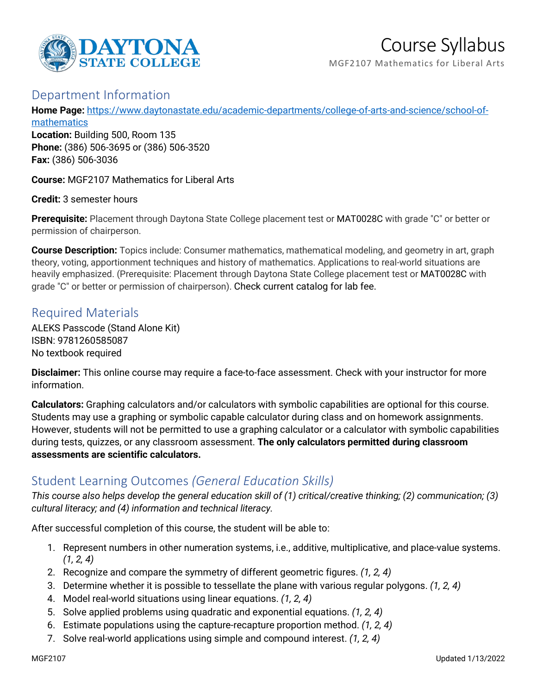

# Course Syllabus

MGF2107 Mathematics for Liberal Arts

#### Department Information

**Home Page:** [https://www.daytonastate.edu/academic-departments/college-of-arts-and-science/school-of](https://www.daytonastate.edu/academic-departments/college-of-arts-and-science/school-of-mathematics)**[mathematics](https://www.daytonastate.edu/academic-departments/college-of-arts-and-science/school-of-mathematics)** 

**Location:** Building 500, Room 135 **Phone:** (386) 506-3695 or (386) 506-3520 **Fax:** (386) 506-3036

**Course:** MGF2107 Mathematics for Liberal Arts

**Credit:** 3 semester hours

**Prerequisite:** Placement through Daytona State College placement test or MAT0028C with grade "C" or better or permission of chairperson.

**Course Description:** Topics include: Consumer mathematics, mathematical modeling, and geometry in art, graph theory, voting, apportionment techniques and history of mathematics. Applications to real-world situations are heavily emphasized. (Prerequisite: Placement through Daytona State College placement test or MAT0028C with grade "C" or better or permission of chairperson). Check current catalog for lab fee.

#### Required Materials

ALEKS Passcode (Stand Alone Kit) ISBN: 9781260585087 No textbook required

**Disclaimer:** This online course may require a face-to-face assessment. Check with your instructor for more information.

**Calculators:** Graphing calculators and/or calculators with symbolic capabilities are optional for this course. Students may use a graphing or symbolic capable calculator during class and on homework assignments. However, students will not be permitted to use a graphing calculator or a calculator with symbolic capabilities during tests, quizzes, or any classroom assessment. **The only calculators permitted during classroom assessments are scientific calculators.**

## Student Learning Outcomes *(General Education Skills)*

*This course also helps develop the general education skill of (1) critical/creative thinking; (2) communication; (3) cultural literacy; and (4) information and technical literacy.*

After successful completion of this course, the student will be able to:

- 1. Represent numbers in other numeration systems, i.e., additive, multiplicative, and place-value systems. *(1, 2, 4)*
- 2. Recognize and compare the symmetry of different geometric figures. *(1, 2, 4)*
- 3. Determine whether it is possible to tessellate the plane with various regular polygons. *(1, 2, 4)*
- 4. Model real-world situations using linear equations. *(1, 2, 4)*
- 5. Solve applied problems using quadratic and exponential equations. *(1, 2, 4)*
- 6. Estimate populations using the capture-recapture proportion method. *(1, 2, 4)*
- 7. Solve real-world applications using simple and compound interest. *(1, 2, 4)*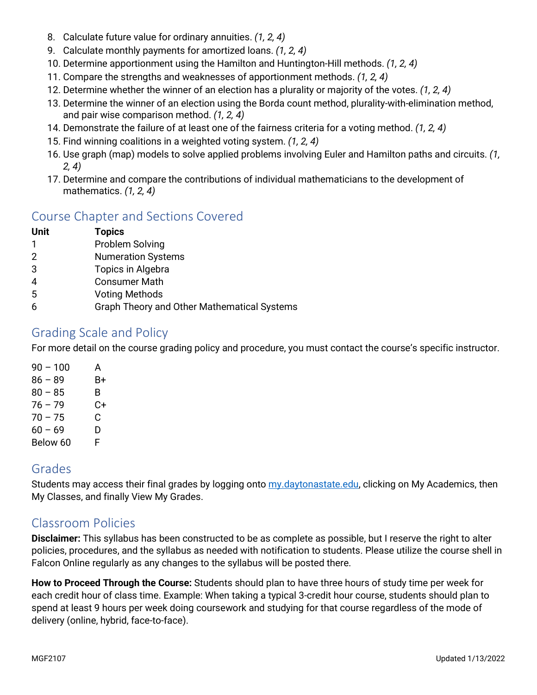- 8. Calculate future value for ordinary annuities. *(1, 2, 4)*
- 9. Calculate monthly payments for amortized loans. *(1, 2, 4)*
- 10. Determine apportionment using the Hamilton and Huntington-Hill methods. *(1, 2, 4)*
- 11. Compare the strengths and weaknesses of apportionment methods. *(1, 2, 4)*
- 12. Determine whether the winner of an election has a plurality or majority of the votes. *(1, 2, 4)*
- 13. Determine the winner of an election using the Borda count method, plurality-with-elimination method, and pair wise comparison method. *(1, 2, 4)*
- 14. Demonstrate the failure of at least one of the fairness criteria for a voting method. *(1, 2, 4)*
- 15. Find winning coalitions in a weighted voting system. *(1, 2, 4)*
- 16. Use graph (map) models to solve applied problems involving Euler and Hamilton paths and circuits. *(1, 2, 4)*
- 17. Determine and compare the contributions of individual mathematicians to the development of mathematics. *(1, 2, 4)*

# Course Chapter and Sections Covered

| Unit | <b>Topics</b> |        |
|------|---------------|--------|
|      |               | $\sim$ |

- 1 Problem Solving
- 2 Numeration Systems
- 3 Topics in Algebra
- 4 Consumer Math
- 5 Voting Methods
- 6 Graph Theory and Other Mathematical Systems

## Grading Scale and Policy

For more detail on the course grading policy and procedure, you must contact the course's specific instructor.

| $90 - 100$ | А  |
|------------|----|
| $86 - 89$  | В+ |
| $80 - 85$  | B  |
| $76 - 79$  | C+ |
| $70 - 75$  | C  |
| $60 - 69$  | D  |
| Below 60   | F  |

#### Grades

Students may access their final grades by logging onto [my.daytonastate.edu,](https://my.daytonastate.edu/) clicking on My Academics, then My Classes, and finally View My Grades.

## Classroom Policies

**Disclaimer:** This syllabus has been constructed to be as complete as possible, but I reserve the right to alter policies, procedures, and the syllabus as needed with notification to students. Please utilize the course shell in Falcon Online regularly as any changes to the syllabus will be posted there.

**How to Proceed Through the Course:** Students should plan to have three hours of study time per week for each credit hour of class time. Example: When taking a typical 3-credit hour course, students should plan to spend at least 9 hours per week doing coursework and studying for that course regardless of the mode of delivery (online, hybrid, face-to-face).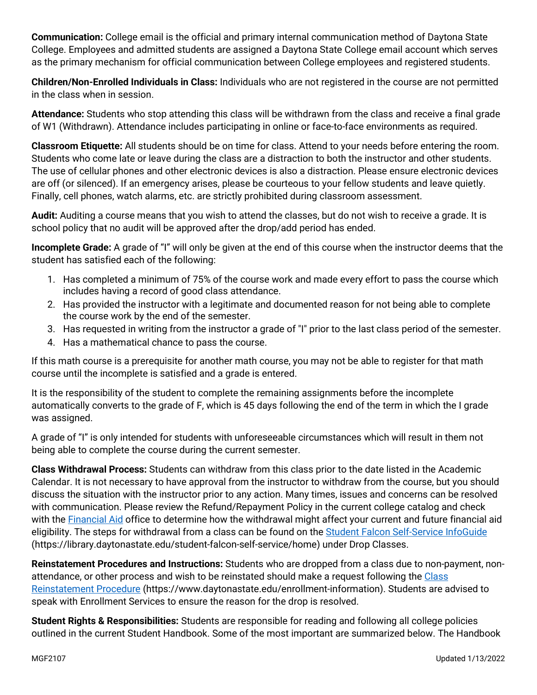**Communication:** College email is the official and primary internal communication method of Daytona State College. Employees and admitted students are assigned a Daytona State College email account which serves as the primary mechanism for official communication between College employees and registered students.

**Children/Non-Enrolled Individuals in Class:** Individuals who are not registered in the course are not permitted in the class when in session.

**Attendance:** Students who stop attending this class will be withdrawn from the class and receive a final grade of W1 (Withdrawn). Attendance includes participating in online or face-to-face environments as required.

**Classroom Etiquette:** All students should be on time for class. Attend to your needs before entering the room. Students who come late or leave during the class are a distraction to both the instructor and other students. The use of cellular phones and other electronic devices is also a distraction. Please ensure electronic devices are off (or silenced). If an emergency arises, please be courteous to your fellow students and leave quietly. Finally, cell phones, watch alarms, etc. are strictly prohibited during classroom assessment.

**Audit:** Auditing a course means that you wish to attend the classes, but do not wish to receive a grade. It is school policy that no audit will be approved after the drop/add period has ended.

**Incomplete Grade:** A grade of "I" will only be given at the end of this course when the instructor deems that the student has satisfied each of the following:

- 1. Has completed a minimum of 75% of the course work and made every effort to pass the course which includes having a record of good class attendance.
- 2. Has provided the instructor with a legitimate and documented reason for not being able to complete the course work by the end of the semester.
- 3. Has requested in writing from the instructor a grade of "I" prior to the last class period of the semester.
- 4. Has a mathematical chance to pass the course.

If this math course is a prerequisite for another math course, you may not be able to register for that math course until the incomplete is satisfied and a grade is entered.

It is the responsibility of the student to complete the remaining assignments before the incomplete automatically converts to the grade of F, which is 45 days following the end of the term in which the I grade was assigned.

A grade of "I" is only intended for students with unforeseeable circumstances which will result in them not being able to complete the course during the current semester.

**Class Withdrawal Process:** Students can withdraw from this class prior to the date listed in the Academic Calendar. It is not necessary to have approval from the instructor to withdraw from the course, but you should discuss the situation with the instructor prior to any action. Many times, issues and concerns can be resolved with communication. Please review the Refund/Repayment Policy in the current college catalog and check with the [Financial Aid](https://www.daytonastate.edu/financial-aid) office to determine how the withdrawal might affect your current and future financial aid eligibility. The steps for withdrawal from a class can be found on the [Student Falcon Self-Service InfoGuide](https://library.daytonastate.edu/student-falcon-self-service/home) (https://library.daytonastate.edu/student-falcon-self-service/home) under Drop Classes.

**Reinstatement Procedures and Instructions:** Students who are dropped from a class due to non-payment, nonattendance, or other process and wish to be reinstated should make a request following the [Class](https://www.daytonastate.edu/enrollment-information/index.html)  [Reinstatement Procedure](https://www.daytonastate.edu/enrollment-information/index.html) (https://www.daytonastate.edu/enrollment-information). Students are advised to speak with Enrollment Services to ensure the reason for the drop is resolved.

**Student Rights & Responsibilities:** Students are responsible for reading and following all college policies outlined in the current Student Handbook. Some of the most important are summarized below. The Handbook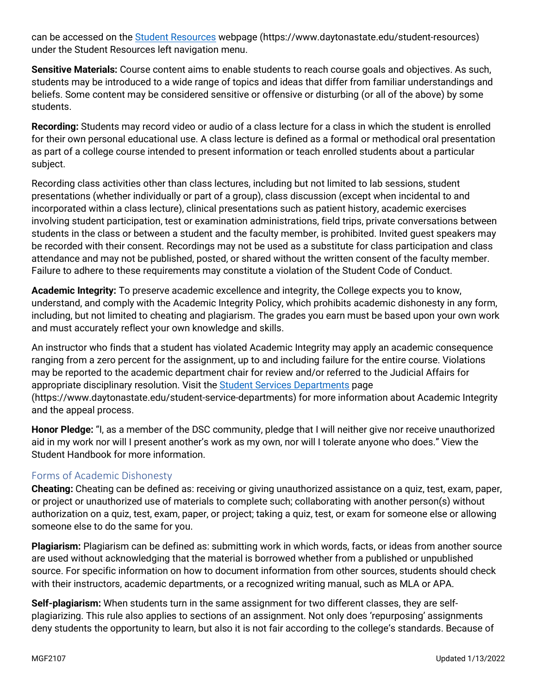can be accessed on the [Student Resources](https://www.daytonastate.edu/student-resources) webpage (https://www.daytonastate.edu/student-resources) under the Student Resources left navigation menu.

**Sensitive Materials:** Course content aims to enable students to reach course goals and objectives. As such, students may be introduced to a wide range of topics and ideas that differ from familiar understandings and beliefs. Some content may be considered sensitive or offensive or disturbing (or all of the above) by some students.

**Recording:** Students may record video or audio of a class lecture for a class in which the student is enrolled for their own personal educational use. A class lecture is defined as a formal or methodical oral presentation as part of a college course intended to present information or teach enrolled students about a particular subject.

Recording class activities other than class lectures, including but not limited to lab sessions, student presentations (whether individually or part of a group), class discussion (except when incidental to and incorporated within a class lecture), clinical presentations such as patient history, academic exercises involving student participation, test or examination administrations, field trips, private conversations between students in the class or between a student and the faculty member, is prohibited. Invited guest speakers may be recorded with their consent. Recordings may not be used as a substitute for class participation and class attendance and may not be published, posted, or shared without the written consent of the faculty member. Failure to adhere to these requirements may constitute a violation of the Student Code of Conduct.

**Academic Integrity:** To preserve academic excellence and integrity, the College expects you to know, understand, and comply with the Academic Integrity Policy, which prohibits academic dishonesty in any form, including, but not limited to cheating and plagiarism. The grades you earn must be based upon your own work and must accurately reflect your own knowledge and skills.

An instructor who finds that a student has violated Academic Integrity may apply an academic consequence ranging from a zero percent for the assignment, up to and including failure for the entire course. Violations may be reported to the academic department chair for review and/or referred to the Judicial Affairs for appropriate disciplinary resolution. Visit the [Student Services Departments](https://www.daytonastate.edu/student-service-departments) page (https://www.daytonastate.edu/student-service-departments) for more information about Academic Integrity and the appeal process.

**Honor Pledge:** "I, as a member of the DSC community, pledge that I will neither give nor receive unauthorized aid in my work nor will I present another's work as my own, nor will I tolerate anyone who does." View the Student Handbook for more information.

#### Forms of Academic Dishonesty

**Cheating:** Cheating can be defined as: receiving or giving unauthorized assistance on a quiz, test, exam, paper, or project or unauthorized use of materials to complete such; collaborating with another person(s) without authorization on a quiz, test, exam, paper, or project; taking a quiz, test, or exam for someone else or allowing someone else to do the same for you.

**Plagiarism:** Plagiarism can be defined as: submitting work in which words, facts, or ideas from another source are used without acknowledging that the material is borrowed whether from a published or unpublished source. For specific information on how to document information from other sources, students should check with their instructors, academic departments, or a recognized writing manual, such as MLA or APA.

**Self-plagiarism:** When students turn in the same assignment for two different classes, they are selfplagiarizing. This rule also applies to sections of an assignment. Not only does 'repurposing' assignments deny students the opportunity to learn, but also it is not fair according to the college's standards. Because of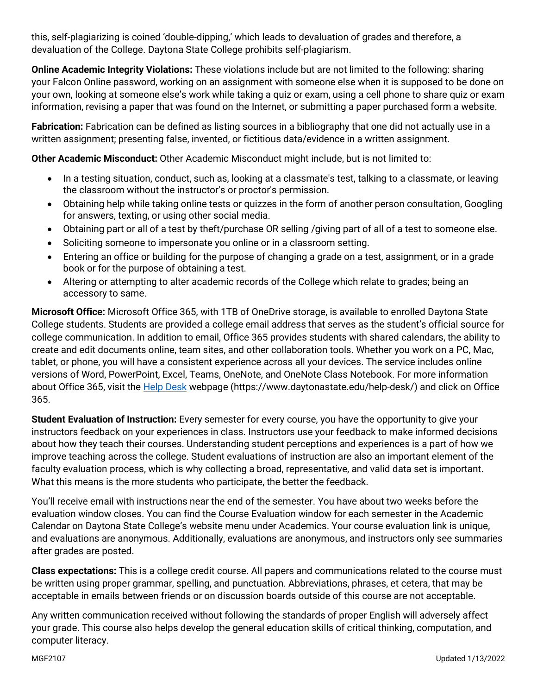this, self-plagiarizing is coined 'double-dipping,' which leads to devaluation of grades and therefore, a devaluation of the College. Daytona State College prohibits self-plagiarism.

**Online Academic Integrity Violations:** These violations include but are not limited to the following: sharing your Falcon Online password, working on an assignment with someone else when it is supposed to be done on your own, looking at someone else's work while taking a quiz or exam, using a cell phone to share quiz or exam information, revising a paper that was found on the Internet, or submitting a paper purchased form a website.

**Fabrication:** Fabrication can be defined as listing sources in a bibliography that one did not actually use in a written assignment; presenting false, invented, or fictitious data/evidence in a written assignment.

**Other Academic Misconduct:** Other Academic Misconduct might include, but is not limited to:

- In a testing situation, conduct, such as, looking at a classmate's test, talking to a classmate, or leaving the classroom without the instructor's or proctor's permission.
- Obtaining help while taking online tests or quizzes in the form of another person consultation, Googling for answers, texting, or using other social media.
- Obtaining part or all of a test by theft/purchase OR selling /giving part of all of a test to someone else.
- Soliciting someone to impersonate you online or in a classroom setting.
- Entering an office or building for the purpose of changing a grade on a test, assignment, or in a grade book or for the purpose of obtaining a test.
- Altering or attempting to alter academic records of the College which relate to grades; being an accessory to same.

**Microsoft Office:** Microsoft Office 365, with 1TB of OneDrive storage, is available to enrolled Daytona State College students. Students are provided a college email address that serves as the student's official source for college communication. In addition to email, Office 365 provides students with shared calendars, the ability to create and edit documents online, team sites, and other collaboration tools. Whether you work on a PC, Mac, tablet, or phone, you will have a consistent experience across all your devices. The service includes online versions of Word, PowerPoint, Excel, Teams, OneNote, and OneNote Class Notebook. For more information about Office 365, visit the [Help Desk](https://www.daytonastate.edu/help-desk/) webpage (https://www.daytonastate.edu/help-desk/) and click on Office 365.

**Student Evaluation of Instruction:** Every semester for every course, you have the opportunity to give your instructors feedback on your experiences in class. Instructors use your feedback to make informed decisions about how they teach their courses. Understanding student perceptions and experiences is a part of how we improve teaching across the college. Student evaluations of instruction are also an important element of the faculty evaluation process, which is why collecting a broad, representative, and valid data set is important. What this means is the more students who participate, the better the feedback.

You'll receive email with instructions near the end of the semester. You have about two weeks before the evaluation window closes. You can find the Course Evaluation window for each semester in the Academic Calendar on Daytona State College's website menu under Academics. Your course evaluation link is unique, and evaluations are anonymous. Additionally, evaluations are anonymous, and instructors only see summaries after grades are posted.

**Class expectations:** This is a college credit course. All papers and communications related to the course must be written using proper grammar, spelling, and punctuation. Abbreviations, phrases, et cetera, that may be acceptable in emails between friends or on discussion boards outside of this course are not acceptable.

Any written communication received without following the standards of proper English will adversely affect your grade. This course also helps develop the general education skills of critical thinking, computation, and computer literacy.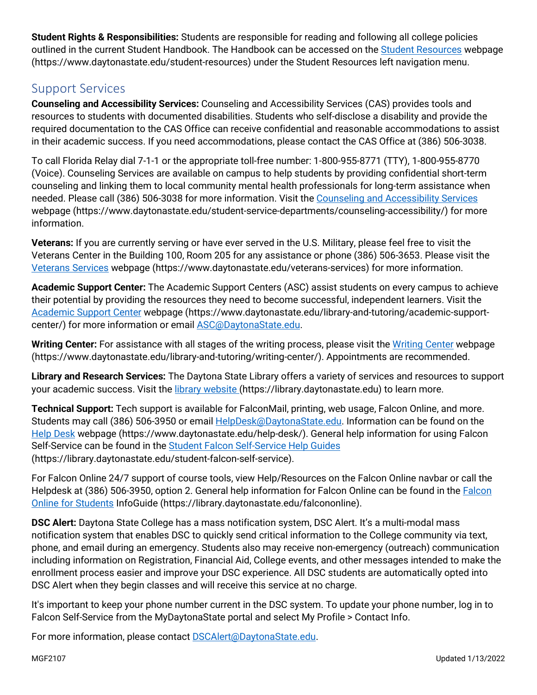**Student Rights & Responsibilities:** Students are responsible for reading and following all college policies outlined in the current Student Handbook. The Handbook can be accessed on the [Student Resources](https://www.daytonastate.edu/student-resources) webpage (https://www.daytonastate.edu/student-resources) under the Student Resources left navigation menu.

#### Support Services

**Counseling and Accessibility Services:** Counseling and Accessibility Services (CAS) provides tools and resources to students with documented disabilities. Students who self-disclose a disability and provide the required documentation to the CAS Office can receive confidential and reasonable accommodations to assist in their academic success. If you need accommodations, please contact the CAS Office at (386) 506-3038.

To call Florida Relay dial 7-1-1 or the appropriate toll-free number: 1-800-955-8771 (TTY), 1-800-955-8770 (Voice). Counseling Services are available on campus to help students by providing confidential short-term counseling and linking them to local community mental health professionals for long-term assistance when needed. Please call (386) 506-3038 for more information. Visit the [Counseling and Accessibility Services](https://www.daytonastate.edu/student-service-departments/counseling-accessibility/) webpage (https://www.daytonastate.edu/student-service-departments/counseling-accessibility/) for more information.

**Veterans:** If you are currently serving or have ever served in the U.S. Military, please feel free to visit the Veterans Center in the Building 100, Room 205 for any assistance or phone (386) 506-3653. Please visit the [Veterans Services](https://www.daytonastate.edu/veterans-services) webpage (https://www.daytonastate.edu/veterans-services) for more information.

**Academic Support Center:** The Academic Support Centers (ASC) assist students on every campus to achieve their potential by providing the resources they need to become successful, independent learners. Visit the [Academic Support Center](https://www.daytonastate.edu/library-and-tutoring/academic-support-center/index.html) webpage (https://www.daytonastate.edu/library-and-tutoring/academic-supportcenter/) for more information or email [ASC@DaytonaState.edu.](mailto:ASC@DaytonaState.edu)

**Writing Center:** For assistance with all stages of the writing process, please visit the [Writing Center](https://www.daytonastate.edu/library-and-tutoring/writing-center/) webpage (https://www.daytonastate.edu/library-and-tutoring/writing-center/). Appointments are recommended.

**Library and Research Services:** The Daytona State Library offers a variety of services and resources to support your academic success. Visit the [library website \(](https://library.daytonastate.edu/index)https://library.daytonastate.edu) to learn more.

**Technical Support:** Tech support is available for FalconMail, printing, web usage, Falcon Online, and more. Students may call (386) 506-3950 or email [HelpDesk@DaytonaState.edu.](mailto:HelpDesk@DaytonaState.edu) Information can be found on the [Help Desk](https://www.daytonastate.edu/help-desk/) webpage (https://www.daytonastate.edu/help-desk/). General help information for using Falcon Self-Service can be found in the [Student Falcon Self-Service Help Guides](https://library.daytonastate.edu/student-falcon-self-service) (https://library.daytonastate.edu/student-falcon-self-service).

For Falcon Online 24/7 support of course tools, view Help/Resources on the Falcon Online navbar or call the Helpdesk at (386) 506-3950, option 2. General help information for [Falcon](https://library.daytonastate.edu/falcononline) Online can be found in the Falcon [Online for Students](https://library.daytonastate.edu/falcononline) InfoGuide (https://library.daytonastate.edu/falcononline).

**DSC Alert:** Daytona State College has a mass notification system, DSC Alert. It's a multi-modal mass notification system that enables DSC to quickly send critical information to the College community via text, phone, and email during an emergency. Students also may receive non-emergency (outreach) communication including information on Registration, Financial Aid, College events, and other messages intended to make the enrollment process easier and improve your DSC experience. All DSC students are automatically opted into DSC Alert when they begin classes and will receive this service at no charge.

It's important to keep your phone number current in the DSC system. To update your phone number, log in to Falcon Self-Service from the MyDaytonaState portal and select My Profile > Contact Info.

For more information, please contact **DSCAlert**@DaytonaState.edu.